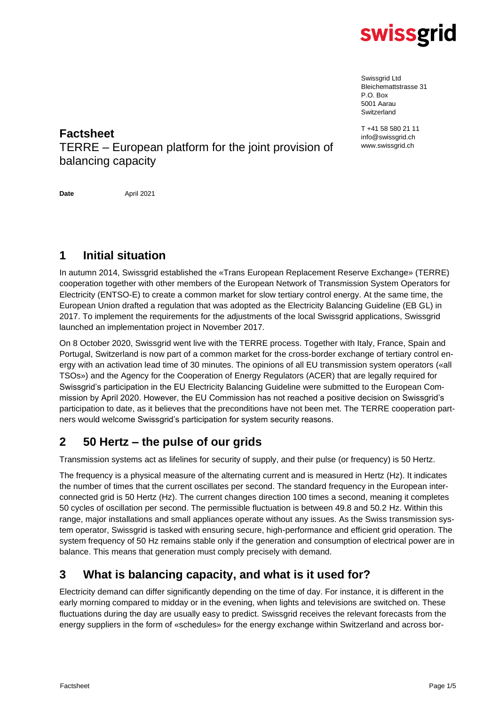

Swissgrid Ltd Bleichemattstrasse 31 P.O. Box 5001 Aarau Switzerland

T +41 58 580 21 11 info@swissgrid.ch www.swissgrid.ch

**Factsheet** TERRE – European platform for the joint provision of balancing capacity

**Date** April 2021

# **1 Initial situation**

In autumn 2014, Swissgrid established the «Trans European Replacement Reserve Exchange» (TERRE) cooperation together with other members of the European Network of Transmission System Operators for Electricity (ENTSO-E) to create a common market for slow tertiary control energy. At the same time, the European Union drafted a regulation that was adopted as the Electricity Balancing Guideline (EB GL) in 2017. To implement the requirements for the adjustments of the local Swissgrid applications, Swissgrid launched an implementation project in November 2017.

On 8 October 2020, Swissgrid went live with the TERRE process. Together with Italy, France, Spain and Portugal, Switzerland is now part of a common market for the cross-border exchange of tertiary control energy with an activation lead time of 30 minutes. The opinions of all EU transmission system operators («all TSOs») and the Agency for the Cooperation of Energy Regulators (ACER) that are legally required for Swissgrid's participation in the EU Electricity Balancing Guideline were submitted to the European Commission by April 2020. However, the EU Commission has not reached a positive decision on Swissgrid's participation to date, as it believes that the preconditions have not been met. The TERRE cooperation partners would welcome Swissgrid's participation for system security reasons.

## **2 50 Hertz – the pulse of our grids**

Transmission systems act as lifelines for security of supply, and their pulse (or frequency) is 50 Hertz.

The frequency is a physical measure of the alternating current and is measured in Hertz (Hz). It indicates the number of times that the current oscillates per second. The standard frequency in the European interconnected grid is 50 Hertz (Hz). The current changes direction 100 times a second, meaning it completes 50 cycles of oscillation per second. The permissible fluctuation is between 49.8 and 50.2 Hz. Within this range, major installations and small appliances operate without any issues. As the Swiss transmission system operator, Swissgrid is tasked with ensuring secure, high-performance and efficient grid operation. The system frequency of 50 Hz remains stable only if the generation and consumption of electrical power are in balance. This means that generation must comply precisely with demand.

## **3 What is balancing capacity, and what is it used for?**

Electricity demand can differ significantly depending on the time of day. For instance, it is different in the early morning compared to midday or in the evening, when lights and televisions are switched on. These fluctuations during the day are usually easy to predict. Swissgrid receives the relevant forecasts from the energy suppliers in the form of «schedules» for the energy exchange within Switzerland and across bor-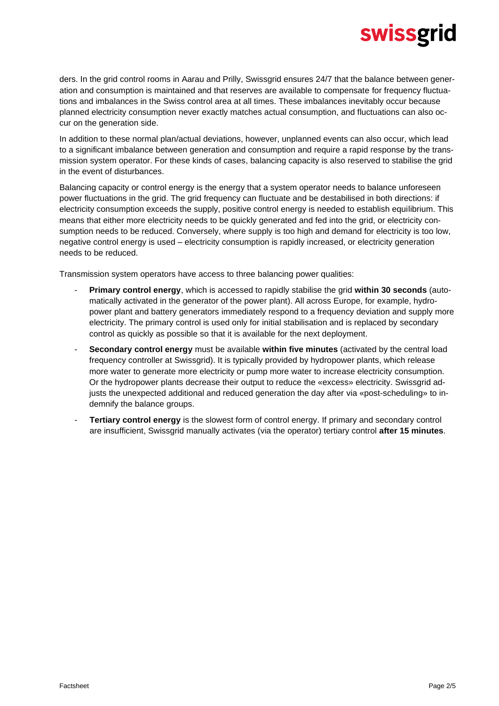ders. In the grid control rooms in Aarau and Prilly, Swissgrid ensures 24/7 that the balance between generation and consumption is maintained and that reserves are available to compensate for frequency fluctuations and imbalances in the Swiss control area at all times. These imbalances inevitably occur because planned electricity consumption never exactly matches actual consumption, and fluctuations can also occur on the generation side.

In addition to these normal plan/actual deviations, however, unplanned events can also occur, which lead to a significant imbalance between generation and consumption and require a rapid response by the transmission system operator. For these kinds of cases, balancing capacity is also reserved to stabilise the grid in the event of disturbances.

Balancing capacity or control energy is the energy that a system operator needs to balance unforeseen power fluctuations in the grid. The grid frequency can fluctuate and be destabilised in both directions: if electricity consumption exceeds the supply, positive control energy is needed to establish equilibrium. This means that either more electricity needs to be quickly generated and fed into the grid, or electricity consumption needs to be reduced. Conversely, where supply is too high and demand for electricity is too low, negative control energy is used – electricity consumption is rapidly increased, or electricity generation needs to be reduced.

Transmission system operators have access to three balancing power qualities:

- **Primary control energy**, which is accessed to rapidly stabilise the grid **within 30 seconds** (automatically activated in the generator of the power plant). All across Europe, for example, hydropower plant and battery generators immediately respond to a frequency deviation and supply more electricity. The primary control is used only for initial stabilisation and is replaced by secondary control as quickly as possible so that it is available for the next deployment.
- **Secondary control energy** must be available **within five minutes** (activated by the central load frequency controller at Swissgrid). It is typically provided by hydropower plants, which release more water to generate more electricity or pump more water to increase electricity consumption. Or the hydropower plants decrease their output to reduce the «excess» electricity. Swissgrid adjusts the unexpected additional and reduced generation the day after via «post-scheduling» to indemnify the balance groups.
- **Tertiary control energy** is the slowest form of control energy. If primary and secondary control are insufficient, Swissgrid manually activates (via the operator) tertiary control **after 15 minutes**.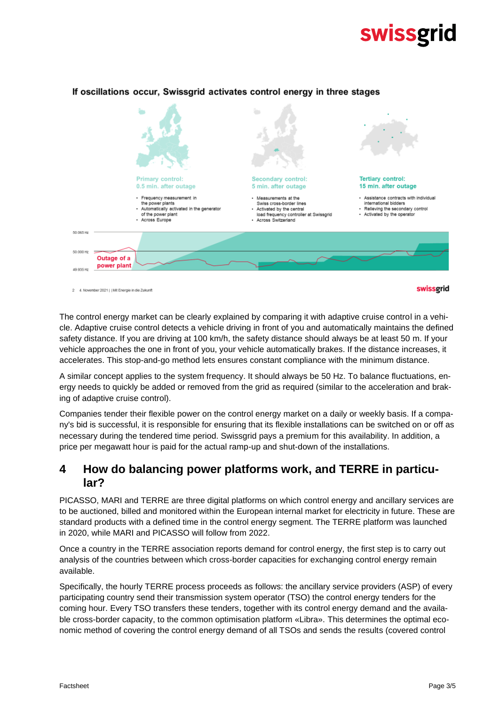

#### If oscillations occur, Swissgrid activates control energy in three stages

2 4. November 2021 | | Mit Energie in die Zukunf

The control energy market can be clearly explained by comparing it with adaptive cruise control in a vehicle. Adaptive cruise control detects a vehicle driving in front of you and automatically maintains the defined safety distance. If you are driving at 100 km/h, the safety distance should always be at least 50 m. If your vehicle approaches the one in front of you, your vehicle automatically brakes. If the distance increases, it accelerates. This stop-and-go method lets ensures constant compliance with the minimum distance.

A similar concept applies to the system frequency. It should always be 50 Hz. To balance fluctuations, energy needs to quickly be added or removed from the grid as required (similar to the acceleration and braking of adaptive cruise control).

Companies tender their flexible power on the control energy market on a daily or weekly basis. If a company's bid is successful, it is responsible for ensuring that its flexible installations can be switched on or off as necessary during the tendered time period. Swissgrid pays a premium for this availability. In addition, a price per megawatt hour is paid for the actual ramp-up and shut-down of the installations.

#### **4 How do balancing power platforms work, and TERRE in particular?**

PICASSO, MARI and TERRE are three digital platforms on which control energy and ancillary services are to be auctioned, billed and monitored within the European internal market for electricity in future. These are standard products with a defined time in the control energy segment. The TERRE platform was launched in 2020, while MARI and PICASSO will follow from 2022.

Once a country in the TERRE association reports demand for control energy, the first step is to carry out analysis of the countries between which cross-border capacities for exchanging control energy remain available.

Specifically, the hourly TERRE process proceeds as follows: the ancillary service providers (ASP) of every participating country send their transmission system operator (TSO) the control energy tenders for the coming hour. Every TSO transfers these tenders, together with its control energy demand and the available cross-border capacity, to the common optimisation platform «Libra». This determines the optimal economic method of covering the control energy demand of all TSOs and sends the results (covered control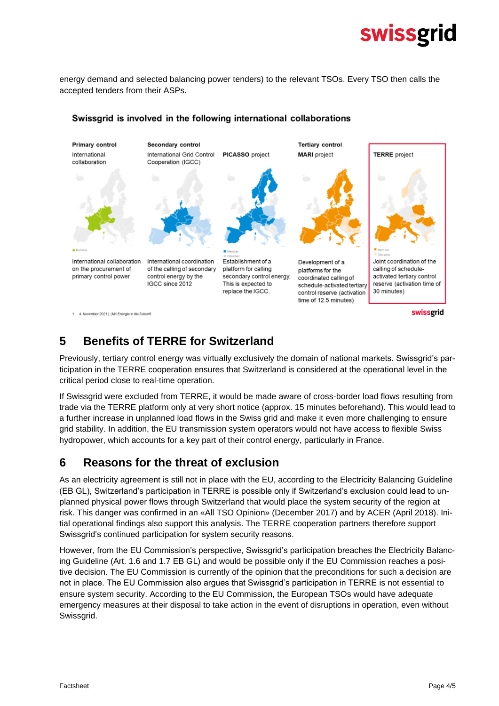energy demand and selected balancing power tenders) to the relevant TSOs. Every TSO then calls the accepted tenders from their ASPs.



#### Swissgrid is involved in the following international collaborations

### **5 Benefits of TERRE for Switzerland**

Previously, tertiary control energy was virtually exclusively the domain of national markets. Swissgrid's participation in the TERRE cooperation ensures that Switzerland is considered at the operational level in the critical period close to real-time operation.

If Swissgrid were excluded from TERRE, it would be made aware of cross-border load flows resulting from trade via the TERRE platform only at very short notice (approx. 15 minutes beforehand). This would lead to a further increase in unplanned load flows in the Swiss grid and make it even more challenging to ensure grid stability. In addition, the EU transmission system operators would not have access to flexible Swiss hydropower, which accounts for a key part of their control energy, particularly in France.

#### **6 Reasons for the threat of exclusion**

As an electricity agreement is still not in place with the EU, according to the Electricity Balancing Guideline (EB GL), Switzerland's participation in TERRE is possible only if Switzerland's exclusion could lead to unplanned physical power flows through Switzerland that would place the system security of the region at risk. This danger was confirmed in an «All TSO Opinion» (December 2017) and by ACER (April 2018). Initial operational findings also support this analysis. The TERRE cooperation partners therefore support Swissgrid's continued participation for system security reasons.

However, from the EU Commission's perspective, Swissgrid's participation breaches the Electricity Balancing Guideline (Art. 1.6 and 1.7 EB GL) and would be possible only if the EU Commission reaches a positive decision. The EU Commission is currently of the opinion that the preconditions for such a decision are not in place. The EU Commission also argues that Swissgrid's participation in TERRE is not essential to ensure system security. According to the EU Commission, the European TSOs would have adequate emergency measures at their disposal to take action in the event of disruptions in operation, even without Swissgrid.